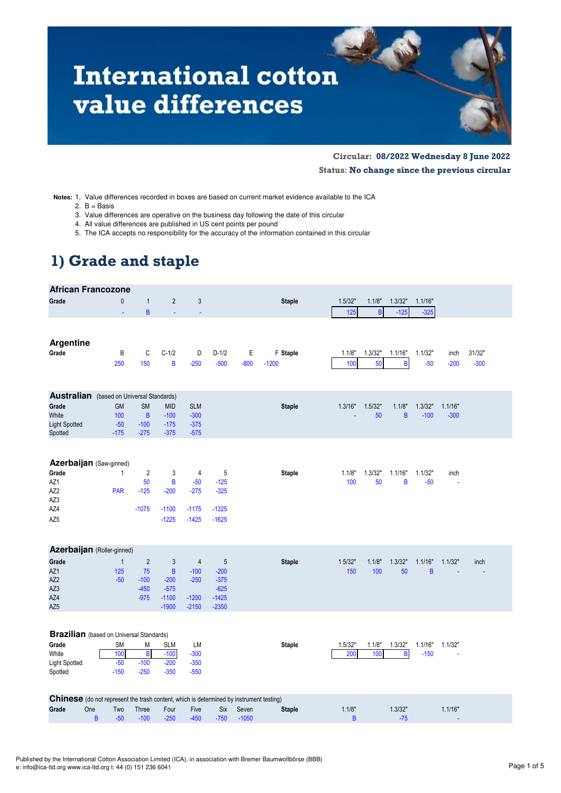# **International cotton** value differences

**Circular: 08/2022 Wednesday 8 June 2022 Status**: **No change since the previous circular**

**Notes:** 1. Value differences recorded in boxes are based on current market evidence available to the ICA

2.  $B =$  Basis

- 3. Value differences are operative on the business day following the date of this circular
- 4. All value differences are published in US cent points per pound
- 5. The ICA accepts no responsibility for the accuracy of the information contained in this circular

## **1) Grade and staple**

| <b>African Francozone</b>                                                                     |                                     |                            |                                          |                                  |                   |             |                     |                |                |              |                   |                |                  |
|-----------------------------------------------------------------------------------------------|-------------------------------------|----------------------------|------------------------------------------|----------------------------------|-------------------|-------------|---------------------|----------------|----------------|--------------|-------------------|----------------|------------------|
| Grade                                                                                         | $\mathbf{0}$                        | $\mathbf{1}$               | $\overline{2}$                           | $\mathfrak{Z}$                   |                   |             | <b>Staple</b>       | 1.5/32"        | 1.1/8"         | 1.3/32"      | 1.1/16"           |                |                  |
|                                                                                               | ä,                                  | B                          | ÷                                        |                                  |                   |             |                     | 125            | $\overline{B}$ | $-125$       | $-325$            |                |                  |
| <b>Argentine</b><br>Grade                                                                     |                                     |                            | $C-1/2$                                  |                                  |                   |             |                     |                |                | 1.1/16"      |                   |                |                  |
|                                                                                               | B<br>250                            | C<br>150                   | B                                        | D<br>$-250$                      | $D-1/2$<br>$-500$ | Ε<br>$-800$ | F Staple<br>$-1200$ | 1.1/8"<br>100  | 1.3/32"<br>50  | B            | 1.1/32"<br>$-50$  | inch<br>$-200$ | 31/32"<br>$-300$ |
|                                                                                               |                                     |                            |                                          |                                  |                   |             |                     |                |                |              |                   |                |                  |
| <b>Australian</b> (based on Universal Standards)                                              |                                     |                            |                                          |                                  |                   |             |                     |                |                |              |                   |                |                  |
| Grade                                                                                         | <b>GM</b>                           | <b>SM</b>                  | <b>MID</b>                               | <b>SLM</b>                       |                   |             | <b>Staple</b>       | 1.3/16"        | 1.5/32"        | 1.1/8        | 1.3/32"           | 1.1/16"        |                  |
| White                                                                                         | 100                                 | $\sf{B}$                   | $-100$                                   | $-300$                           |                   |             |                     |                | 50             | B            | $-100$            | $-300$         |                  |
| <b>Light Spotted</b><br>Spotted                                                               | $-50$<br>$-175$                     | $-100$<br>$-275$           | $-175$<br>$-375$                         | $-375$<br>$-575$                 |                   |             |                     |                |                |              |                   |                |                  |
| Azerbaijan (Saw-ginned)                                                                       |                                     |                            |                                          |                                  |                   |             |                     |                |                |              |                   |                |                  |
| Grade                                                                                         | $\mathbf{1}$                        | $\overline{2}$             | 3                                        | 4                                | 5                 |             | <b>Staple</b>       | 1.1/8"         | 1.3/32"        | 1.1/16"      | 1.1/32"           | inch           |                  |
| AZ1                                                                                           |                                     | 50                         | B                                        | $-50$                            | $-125$            |             |                     | 100            | 50             | B            | $-50$             | ä,             |                  |
| AZ2                                                                                           | <b>PAR</b>                          | $-125$                     | $-200$                                   | $-275$                           | $-325$            |             |                     |                |                |              |                   |                |                  |
| AZ3                                                                                           |                                     |                            |                                          |                                  |                   |             |                     |                |                |              |                   |                |                  |
| AZ4                                                                                           |                                     | $-1075$                    | $-1100$                                  | $-1175$                          | $-1325$           |             |                     |                |                |              |                   |                |                  |
| AZ5                                                                                           |                                     |                            | $-1225$                                  | $-1425$                          | $-1625$           |             |                     |                |                |              |                   |                |                  |
| Azerbaijan (Roller-ginned)                                                                    |                                     |                            |                                          |                                  |                   |             |                     |                |                |              |                   |                |                  |
| Grade                                                                                         | $\mathbf{1}$                        | $\overline{2}$             | 3                                        | $\overline{4}$                   | 5                 |             | <b>Staple</b>       | 1 5/32"        | 1.1/8"         | 1.3/32"      | 1.1/16"           | 1.1/32"        | inch             |
| AZ1                                                                                           | 125                                 | 75                         | $\overline{B}$                           | $-100$                           | $-200$            |             |                     | 150            | 100            | 50           | B                 |                |                  |
| AZ2                                                                                           | $-50$                               | $-100$                     | $-200$                                   | $-250$                           | $-375$            |             |                     |                |                |              |                   |                |                  |
| AZ3<br>AZ4                                                                                    |                                     | $-450$<br>$-975$           | $-575$<br>$-1100$                        | $-1200$                          | $-625$<br>$-1425$ |             |                     |                |                |              |                   |                |                  |
| AZ5                                                                                           |                                     |                            | $-1900$                                  | $-2150$                          | $-2350$           |             |                     |                |                |              |                   |                |                  |
| <b>Brazilian</b> (based on Universal Standards)<br>Grade<br>White<br>Light Spotted<br>Spotted | <b>SM</b><br>100<br>$-50$<br>$-150$ | M<br>B<br>$-100$<br>$-250$ | <b>SLM</b><br>$-100$<br>$-200$<br>$-350$ | LM<br>$-300$<br>$-350$<br>$-550$ |                   |             | <b>Staple</b>       | 1.5/32"<br>200 | 1.1/8"<br>100  | 1.3/32"<br>B | 1.1/16"<br>$-150$ | 1.1/32"        |                  |
| Chinese (do not represent the trash content, which is determined by instrument testing)       |                                     |                            |                                          |                                  |                   |             |                     |                |                |              |                   |                |                  |
| One<br>Grade                                                                                  | Two                                 | Three                      | Four                                     | Five                             | <b>Six</b>        | Seven       | <b>Staple</b>       | 1.1/8"         |                | 1.3/32"      |                   | 1.1/16"        |                  |
|                                                                                               | B<br>$-50$                          | $-100$                     | $-250$                                   | $-450$                           | $-750$            | $-1050$     |                     | B              |                | $-75$        |                   |                |                  |
|                                                                                               |                                     |                            |                                          |                                  |                   |             |                     |                |                |              |                   |                |                  |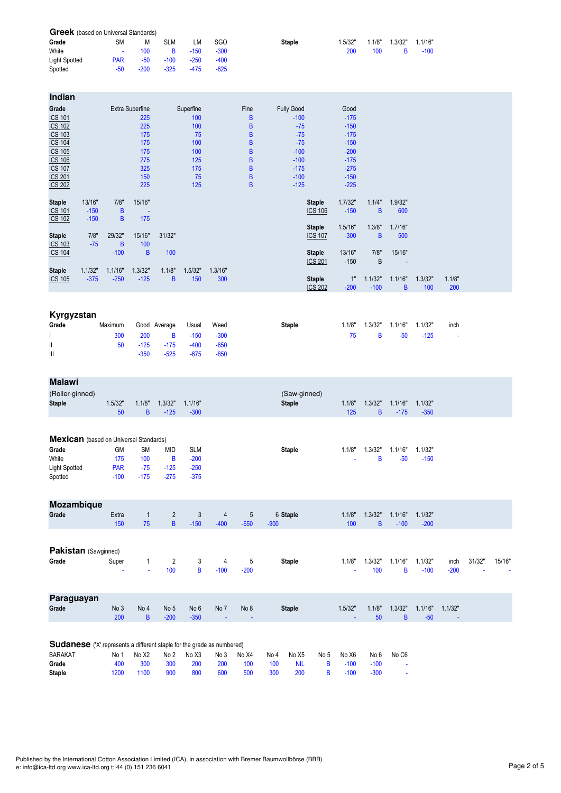| <b>Greek</b> (based on Universal Standards) |                |        |            |        |            |               |         |        |         |         |  |
|---------------------------------------------|----------------|--------|------------|--------|------------|---------------|---------|--------|---------|---------|--|
| Grade                                       | SM             | M      | <b>SLM</b> | LM     | <b>SGO</b> | <b>Staple</b> | 1.5/32" | 1.1/8" | 1.3/32" | 1.1/16" |  |
| White                                       | <b>Section</b> | 100    | B.         | $-150$ | $-300$     |               | 200     | 100    |         | $-100$  |  |
| <b>Light Spotted</b>                        | <b>PAR</b>     | $-50$  | $-100$     | $-250$ | $-400$     |               |         |        |         |         |  |
| Spotted                                     | -50            | $-200$ | $-325$     | $-475$ | $-625$     |               |         |        |         |         |  |

| Indian         |         |         |                          |        |           |         |                |                   |                |         |         |                          |         |        |  |
|----------------|---------|---------|--------------------------|--------|-----------|---------|----------------|-------------------|----------------|---------|---------|--------------------------|---------|--------|--|
| Grade          |         |         | Extra Superfine          |        | Superfine |         | Fine           | <b>Fully Good</b> |                | Good    |         |                          |         |        |  |
| <b>ICS 101</b> |         |         | 225                      |        | 100       |         | B              | $-100$            |                | $-175$  |         |                          |         |        |  |
| <b>ICS 102</b> |         |         | 225                      |        | 100       |         | B              | $-75$             |                | $-150$  |         |                          |         |        |  |
| <b>ICS 103</b> |         |         | 175                      |        | 75        |         | $\sf{B}$       | $-75$             |                | $-175$  |         |                          |         |        |  |
| <b>ICS 104</b> |         |         | 175                      |        | 100       |         | B              | $-75$             |                | $-150$  |         |                          |         |        |  |
| <b>ICS 105</b> |         |         | 175                      |        | 100       |         | $\overline{B}$ | $-100$            |                | $-200$  |         |                          |         |        |  |
| <b>ICS 106</b> |         |         | 275                      |        | 125       |         | $\sf{B}$       | $-100$            |                | $-175$  |         |                          |         |        |  |
| <b>ICS 107</b> |         |         | 325                      |        | 175       |         | B              | $-175$            |                | $-275$  |         |                          |         |        |  |
| <b>ICS 201</b> |         |         | 150                      |        | 75        |         | $\sf{B}$       | $-100$            |                | $-150$  |         |                          |         |        |  |
| <b>ICS 202</b> |         |         | 225                      |        | 125       |         | $\overline{B}$ | $-125$            |                | $-225$  |         |                          |         |        |  |
|                |         |         |                          |        |           |         |                |                   |                |         |         |                          |         |        |  |
| <b>Staple</b>  | 13/16"  | 7/8"    | 15/16"                   |        |           |         |                |                   | <b>Staple</b>  | 1.7/32" | 1.1/4"  | 1.9/32"                  |         |        |  |
| <b>ICS 101</b> | $-150$  | B       | $\overline{\phantom{a}}$ |        |           |         |                |                   | <b>ICS 106</b> | $-150$  | B       | 600                      |         |        |  |
| <b>ICS 102</b> | $-150$  | B       | 175                      |        |           |         |                |                   |                |         |         |                          |         |        |  |
|                |         |         |                          |        |           |         |                |                   | <b>Staple</b>  | 1.5/16" | 1.3/8"  | 1.7/16"                  |         |        |  |
| <b>Staple</b>  | 7/8"    | 29/32"  | 15/16"                   | 31/32" |           |         |                |                   | <b>ICS 107</b> | $-300$  | B       | 500                      |         |        |  |
| <b>ICS 103</b> | $-75$   | B       | 100                      |        |           |         |                |                   |                |         |         |                          |         |        |  |
| <b>ICS 104</b> |         | $-100$  | B                        | 100    |           |         |                |                   | <b>Staple</b>  | 13/16"  | 7/8"    | 15/16"                   |         |        |  |
|                |         |         |                          |        |           |         |                |                   | <b>ICS 201</b> | $-150$  | B       | $\overline{\phantom{a}}$ |         |        |  |
| <b>Staple</b>  | 1.1/32" | 1.1/16" | 1.3/32"                  | 1.1/8" | 1.5/32"   | 1.3/16" |                |                   |                | 1"      | 1.1/32" |                          |         | 1.1/8" |  |
| <b>ICS 105</b> | $-375$  | $-250$  | $-125$                   | B      | 150       | 300     |                |                   | <b>Staple</b>  |         | $-100$  | 1.1/16"                  | 1.3/32" |        |  |
|                |         |         |                          |        |           |         |                |                   | <b>ICS 202</b> | $-200$  |         | B                        | 100     | 200    |  |

| Kyrgyzstan |         |        |              |        |        |               |        |         |         |         |      |
|------------|---------|--------|--------------|--------|--------|---------------|--------|---------|---------|---------|------|
| Grade      | Maximum |        | Good Average | Usual  | Weed   | <b>Staple</b> | 1.1/8" | 1.3/32" | 1.1/16" | 1.1/32" | inch |
|            | 300     | 200    | B.           | $-150$ | $-300$ |               | 75     | B.      | $-50$   | $-125$  | ٠    |
| Ш          | 50      | $-125$ | $-175$       | $-400$ | $-650$ |               |        |         |         |         |      |
| Ш          |         | $-350$ | $-525$       | $-675$ | $-850$ |               |        |         |         |         |      |

| <b>Malawi</b>                                 |            |              |                |            |        |        |                               |        |         |         |         |        |        |        |
|-----------------------------------------------|------------|--------------|----------------|------------|--------|--------|-------------------------------|--------|---------|---------|---------|--------|--------|--------|
| (Roller-ginned)<br><b>Staple</b>              | 1.5/32"    | 1.1/8"       | 1.3/32"        | 1.1/16"    |        |        | (Saw-ginned)<br><b>Staple</b> | 1.1/8" | 1.3/32" | 1.1/16" | 1.1/32" |        |        |        |
|                                               | 50         | B            | $-125$         | $-300$     |        |        |                               | 125    | B       | $-175$  | $-350$  |        |        |        |
| <b>Mexican</b> (based on Universal Standards) |            |              |                |            |        |        |                               |        |         |         |         |        |        |        |
| Grade                                         | GM         | <b>SM</b>    | <b>MID</b>     | <b>SLM</b> |        |        | Staple                        | 1.1/8" | 1.3/32" | 1.1/16" | 1.1/32" |        |        |        |
| White                                         | 175        | 100          | B              | $-200$     |        |        |                               |        | B       | $-50$   | $-150$  |        |        |        |
| Light Spotted                                 | <b>PAR</b> | $-75$        | $-125$         | $-250$     |        |        |                               |        |         |         |         |        |        |        |
| Spotted                                       | $-100$     | $-175$       | $-275$         | $-375$     |        |        |                               |        |         |         |         |        |        |        |
| Mozambique                                    |            |              |                |            |        |        |                               |        |         |         |         |        |        |        |
| Grade                                         | Extra      | $\mathbf{1}$ | $\overline{2}$ | 3          | 4      | 5      | 6 Staple                      | 1.1/8" | 1.3/32" | 1.1/16" | 1.1/32" |        |        |        |
|                                               | 150        | 75           | $\overline{B}$ | $-150$     | $-400$ | $-650$ | $-900$                        | 100    | B       | $-100$  | $-200$  |        |        |        |
|                                               |            |              |                |            |        |        |                               |        |         |         |         |        |        |        |
| Pakistan (Sawginned)                          |            |              |                |            |        |        |                               |        |         |         |         |        |        |        |
| Grade                                         | Super      | 1            | 2              | 3          | 4      | 5      | Staple                        | 1.1/8" | 1.3/32" | 1.1/16" | 1.1/32" | inch   | 31/32" | 15/16" |
|                                               |            | ٠            | 100            | B          | $-100$ | $-200$ |                               |        | 100     | B       | $-100$  | $-200$ | ٠      |        |

| Paraguayan |                 |      |                 |        |      |                        |               |         |        |                |                     |         |
|------------|-----------------|------|-----------------|--------|------|------------------------|---------------|---------|--------|----------------|---------------------|---------|
| Grade      | No <sub>3</sub> | No 4 | No <sub>5</sub> | No 6   | No 7 | No 8                   | <b>Staple</b> | 1.5/32" | 1.1/8" |                | $1.3/32"$ $1.1/16"$ | 1.1/32" |
|            | 200             | B.   | $-200$          | $-350$ |      | and the company of the |               |         | 50     | $\overline{B}$ | $-50$               | $\sim$  |

| <b>Sudanese</b> ('X' represents a different staple for the grade as numbered) |      |       |      |       |      |       |            |            |          |       |              |       |
|-------------------------------------------------------------------------------|------|-------|------|-------|------|-------|------------|------------|----------|-------|--------------|-------|
| <b>BARAKAT</b>                                                                | No 1 | No X2 | No 2 | No X3 | No 3 | No X4 | No 4       | No X5      | No 5     | No X6 | No 6         | No C6 |
| Grade                                                                         | 400  | - 300 | 300  | -200  | 200  | 100   | 100        | <b>NIL</b> | <b>B</b> |       | $-100 - 100$ |       |
| <b>Staple</b>                                                                 | 1200 | 1100  | 900  | 800   | 600  | 500   | <b>300</b> | 200        | B.       | -100  | $-300$       |       |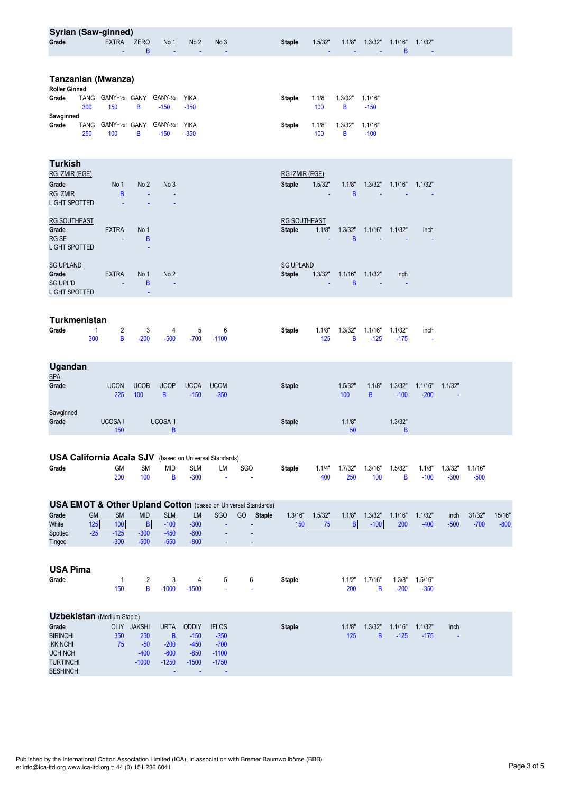| <b>Syrian (Saw-ginned)</b><br>Grade                                                                                                         |                    | <b>EXTRA</b>                         | <b>ZERO</b>                                      | No 1                                                       | No <sub>2</sub>                                                                   | No <sub>3</sub>                                        |                                                                                                 | <b>Staple</b>                        | 1.5/32"       | 1.1/8"                   | 1.3/32"                   | 1.1/16"           | 1.1/32"           |                   |                   |                  |
|---------------------------------------------------------------------------------------------------------------------------------------------|--------------------|--------------------------------------|--------------------------------------------------|------------------------------------------------------------|-----------------------------------------------------------------------------------|--------------------------------------------------------|-------------------------------------------------------------------------------------------------|--------------------------------------|---------------|--------------------------|---------------------------|-------------------|-------------------|-------------------|-------------------|------------------|
|                                                                                                                                             |                    |                                      | B                                                |                                                            |                                                                                   |                                                        |                                                                                                 |                                      |               |                          |                           | B                 |                   |                   |                   |                  |
| <b>Tanzanian (Mwanza)</b><br><b>Roller Ginned</b>                                                                                           |                    |                                      |                                                  |                                                            |                                                                                   |                                                        |                                                                                                 |                                      |               |                          |                           |                   |                   |                   |                   |                  |
| Grade                                                                                                                                       | TANG<br>300        | GANY+1/2 GANY<br>150                 | В                                                | GANY-1/2<br>$-150$                                         | <b>YIKA</b><br>$-350$                                                             |                                                        |                                                                                                 | Staple                               | 1.1/8"<br>100 | 1.3/32"<br>B             | 1.1/16"<br>$-150$         |                   |                   |                   |                   |                  |
| Sawginned<br>Grade                                                                                                                          | <b>TANG</b><br>250 | GANY+1/2 GANY<br>100                 | В                                                | GANY-1/2<br>$-150$                                         | <b>YIKA</b><br>$-350$                                                             |                                                        |                                                                                                 | Staple                               | 1.1/8"<br>100 | 1.3/32"<br>В             | 1.1/16"<br>$-100$         |                   |                   |                   |                   |                  |
| <b>Turkish</b><br>RG IZMIR (EGE)<br>Grade<br><b>RG IZMIR</b><br>LIGHT SPOTTED                                                               |                    | No 1<br>$\sf{B}$                     | No <sub>2</sub><br>÷                             | No 3                                                       |                                                                                   |                                                        |                                                                                                 | RG IZMIR (EGE)<br><b>Staple</b>      | 1.5/32"       | 1.1/8"<br>B              | 1.3/32"                   | 1.1/16"           | 1.1/32"           |                   |                   |                  |
| <b>RG SOUTHEAST</b><br>Grade<br>RG SE<br><b>LIGHT SPOTTED</b>                                                                               |                    | <b>EXTRA</b>                         | No 1<br>B                                        |                                                            |                                                                                   |                                                        |                                                                                                 | <b>RG SOUTHEAST</b><br><b>Staple</b> | 1.1/8"        | 1.3/32"<br>B             | 1.1/16"                   | 1.1/32"           | inch              |                   |                   |                  |
| <b>SG UPLAND</b><br>Grade<br><b>SG UPL'D</b><br><b>LIGHT SPOTTED</b>                                                                        |                    | <b>EXTRA</b>                         | No 1<br>В                                        | No <sub>2</sub>                                            |                                                                                   |                                                        |                                                                                                 | <b>SG UPLAND</b><br><b>Staple</b>    | 1.3/32"       | 1.1/16"<br>B             | 1.1/32"                   | inch              |                   |                   |                   |                  |
| <b>Turkmenistan</b><br>Grade                                                                                                                | 1<br>300           | 2<br>B                               | 3<br>$-200$                                      | 4<br>$-500$                                                | 5<br>$-700$                                                                       | 6<br>$-1100$                                           |                                                                                                 | Staple                               | 1.1/8"<br>125 | 1.3/32"<br>В             | 1.1/16"<br>$-125$         | 1.1/32"<br>$-175$ | inch              |                   |                   |                  |
| Ugandan<br><b>BPA</b><br>Grade                                                                                                              |                    | <b>UCON</b><br>225                   | <b>UCOB</b><br>100                               | <b>UCOP</b><br>B                                           | <b>UCOA</b><br>$-150$                                                             | <b>UCOM</b><br>$-350$                                  |                                                                                                 | <b>Staple</b>                        |               | 1.5/32"<br>100           | 1.1/8"<br>B               | 1.3/32"<br>$-100$ | 1.1/16"<br>$-200$ | 1.1/32"<br>÷.     |                   |                  |
| Sawginned<br>Grade                                                                                                                          |                    | UCOSA I<br>150                       |                                                  | <b>UCOSA II</b><br>$\sf B$                                 |                                                                                   |                                                        |                                                                                                 | <b>Staple</b>                        |               | 1.1/8"<br>50             |                           | 1.3/32"<br>B      |                   |                   |                   |                  |
| <b>USA California Acala SJV</b> (based on Universal Standards)<br>Grade                                                                     |                    | GM<br>200                            | <b>SM</b><br>100                                 | <b>MID</b><br>B                                            | <b>SLM</b><br>$-300$                                                              | LM                                                     | <b>SGO</b><br>÷,                                                                                | <b>Staple</b>                        | 1.1/4"<br>400 | 1.7/32"<br>250           | 1.3/16"<br>100            | 1.5/32"<br>В      | 1.1/8"<br>$-100$  | 1.3/32"<br>$-300$ | 1.1/16"<br>$-500$ |                  |
| Grade<br>White<br>Spotted<br>Tinged                                                                                                         | GM<br>125<br>$-25$ | <b>SM</b><br>100<br>$-125$<br>$-300$ | <b>MID</b><br>B<br>$-300$<br>$-500$              | <b>SLM</b><br>$-100$<br>$-450$<br>$-650$                   | LM<br>$-300$<br>$-600$<br>$-800$                                                  | <b>SGO</b>                                             | <b>USA EMOT &amp; Other Upland Cotton</b> (based on Universal Standards)<br>GO<br><b>Staple</b> | 1.3/16"<br>150                       | 1.5/32"<br>75 | 1.1/8"<br>$\overline{B}$ | 1.3/32"<br>$-100$         | 1.1/16"<br>200    | 1.1/32"<br>$-400$ | inch<br>$-500$    | 31/32"<br>$-700$  | 15/16"<br>$-800$ |
| <b>USA Pima</b><br>Grade                                                                                                                    |                    | $\mathbf{1}$<br>150                  | $\overline{2}$<br>B                              | 3<br>$-1000$                                               | 4<br>$-1500$                                                                      | 5<br>ä,                                                | 6<br>ä,                                                                                         | <b>Staple</b>                        |               | 1.1/2"<br>200            | 1.7/16"<br>B              | 1.3/8"<br>$-200$  | 1.5/16"<br>$-350$ |                   |                   |                  |
| <b>Uzbekistan</b> (Medium Staple)<br>Grade<br><b>BIRINCHI</b><br><b>IKKINCHI</b><br><b>UCHINCHI</b><br><b>TURTINCHI</b><br><b>BESHINCHI</b> |                    | 350<br>75                            | OLIY JAKSHI<br>250<br>$-50$<br>$-400$<br>$-1000$ | <b>URTA</b><br>$\, {\bf B}$<br>$-200$<br>$-600$<br>$-1250$ | <b>ODDIY</b><br>$-150$<br>$-450$<br>$-850$<br>$-1500$<br>$\overline{\phantom{a}}$ | <b>IFLOS</b><br>$-350$<br>$-700$<br>$-1100$<br>$-1750$ |                                                                                                 | <b>Staple</b>                        |               | 1.1/8"<br>125            | 1.3/32"<br>$\overline{B}$ | 1.1/16"<br>$-125$ | 1.1/32"<br>$-175$ | inch<br>÷,        |                   |                  |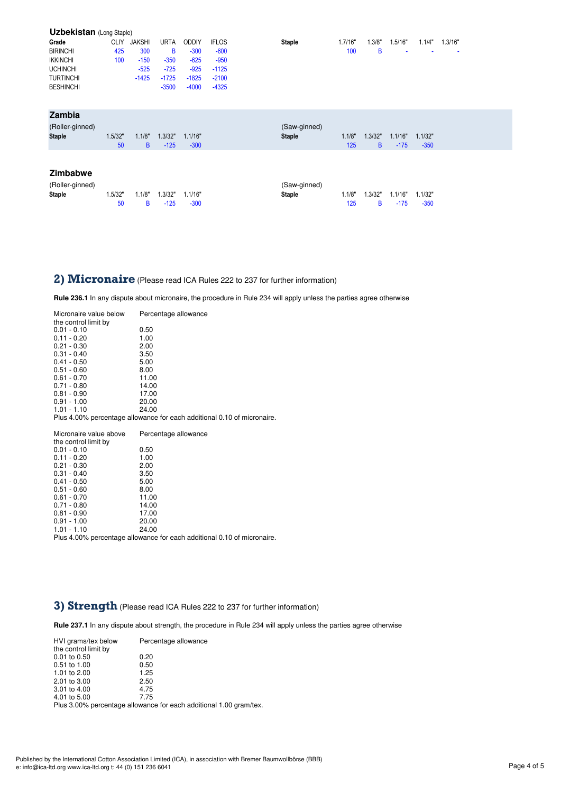| <b>Uzbekistan</b> (Long Staple) |         |               |             |              |              |               |         |         |         |         |         |
|---------------------------------|---------|---------------|-------------|--------------|--------------|---------------|---------|---------|---------|---------|---------|
| Grade                           | OLIY    | <b>JAKSHI</b> | <b>URTA</b> | <b>ODDIY</b> | <b>IFLOS</b> | <b>Staple</b> | 1.7/16" | 1.3/8"  | 1.5/16" | 1.1/4"  | 1.3/16" |
| <b>BIRINCHI</b>                 | 425     | 300           | B           | $-300$       | $-600$       |               | 100     | B       | ٠       |         | ٠       |
| <b>IKKINCHI</b>                 | 100     | $-150$        | $-350$      | $-625$       | $-950$       |               |         |         |         |         |         |
| <b>UCHINCHI</b>                 |         | $-525$        | $-725$      | $-925$       | $-1125$      |               |         |         |         |         |         |
| <b>TURTINCHI</b>                |         | $-1425$       | $-1725$     | $-1825$      | $-2100$      |               |         |         |         |         |         |
| <b>BESHINCHI</b>                |         |               | $-3500$     | $-4000$      | $-4325$      |               |         |         |         |         |         |
|                                 |         |               |             |              |              |               |         |         |         |         |         |
| Zambia                          |         |               |             |              |              |               |         |         |         |         |         |
| (Roller-ginned)                 |         |               |             |              |              | (Saw-ginned)  |         |         |         |         |         |
| <b>Staple</b>                   | 1.5/32" | 1.1/8"        | 1.3/32"     | 1.1/16"      |              | <b>Staple</b> | 1.1/8"  | 1.3/32" | 1.1/16" | 1.1/32" |         |
|                                 | 50      | B             | $-125$      | $-300$       |              |               | 125     | B       | $-175$  | $-350$  |         |
|                                 |         |               |             |              |              |               |         |         |         |         |         |
|                                 |         |               |             |              |              |               |         |         |         |         |         |
| <b>Zimbabwe</b>                 |         |               |             |              |              |               |         |         |         |         |         |
| (Roller-ginned)                 |         |               |             |              |              | (Saw-ginned)  |         |         |         |         |         |
| <b>Staple</b>                   | 1.5/32" | 1.1/8"        | 1.3/32"     | 1.1/16"      |              | <b>Staple</b> | 1.1/8"  | 1.3/32" | 1.1/16" | 1.1/32" |         |
|                                 | 50      | B             | $-125$      | $-300$       |              |               | 125     | B       | $-175$  | $-350$  |         |
|                                 |         |               |             |              |              |               |         |         |         |         |         |

### 2) Micronaire (Please read ICA Rules 222 to 237 for further information)

**Rule 236.1** In any dispute about micronaire, the procedure in Rule 234 will apply unless the parties agree otherwise

| Micronaire value below | Percentage allowance                                                    |
|------------------------|-------------------------------------------------------------------------|
| the control limit by   |                                                                         |
| $0.01 - 0.10$          | 0.50                                                                    |
| $0.11 - 0.20$          | 1.00                                                                    |
| $0.21 - 0.30$          | 2.00                                                                    |
| $0.31 - 0.40$          | 3.50                                                                    |
| $0.41 - 0.50$          | 5.00                                                                    |
| $0.51 - 0.60$          | 8.00                                                                    |
| $0.61 - 0.70$          | 11.00                                                                   |
| $0.71 - 0.80$          | 14.00                                                                   |
| $0.81 - 0.90$          | 17.00                                                                   |
| $0.91 - 1.00$          | 20.00                                                                   |
| $1.01 - 1.10$          | 24.00                                                                   |
|                        | Plus 4.00% percentage allowance for each additional 0.10 of micronaire. |
|                        |                                                                         |
|                        |                                                                         |
| Micronaire value above | Percentage allowance                                                    |
| the control limit by   |                                                                         |
| $0.01 - 0.10$          | 0.50                                                                    |
| $0.11 - 0.20$          | 1.00                                                                    |
| $0.21 - 0.30$          | 2.00                                                                    |
| $0.31 - 0.40$          | 3.50                                                                    |
| $0.41 - 0.50$          | 5.00                                                                    |
| $0.51 - 0.60$          | 8.00                                                                    |
| $0.61 - 0.70$          | 11.00                                                                   |
| $0.71 - 0.80$          | 14.00                                                                   |
| $0.81 - 0.90$          | 17.00                                                                   |
| $0.91 - 1.00$          | 20.00                                                                   |

Plus 4.00% percentage allowance for each additional 0.10 of micronaire.

#### **3) Strength** (Please read ICA Rules 222 to 237 for further information)

**Rule 237.1** In any dispute about strength, the procedure in Rule 234 will apply unless the parties agree otherwise

| HVI grams/tex below<br>the control limit by | Percentage allowance     |  |
|---------------------------------------------|--------------------------|--|
| 0.01 to 0.50                                | 0.20                     |  |
| 0.51 to 1.00                                | 0.50                     |  |
| 1.01 to 2.00                                | 1.25                     |  |
| 2.01 to 3.00                                | 2.50                     |  |
| 3.01 to 4.00                                | 4.75                     |  |
| 4.01 to 5.00                                | 7.75                     |  |
|                                             | $\mathbf{r}$<br>$\cdots$ |  |

Plus 3.00% percentage allowance for each additional 1.00 gram/tex.